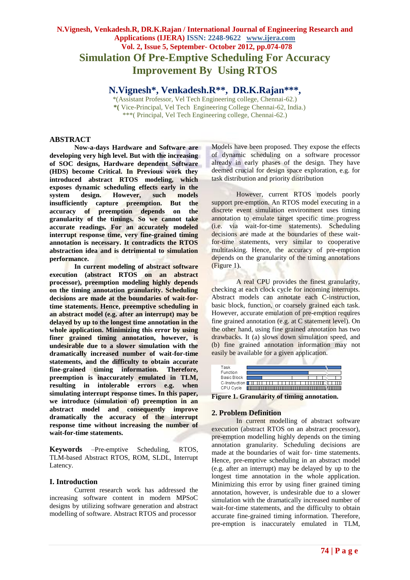# **N.Vignesh, Venkadesh.R, DR.K.Rajan / International Journal of Engineering Research and Applications (IJERA) ISSN: 2248-9622 www.ijera.com Vol. 2, Issue 5, September- October 2012, pp.074-078 Simulation Of Pre-Emptive Scheduling For Accuracy Improvement By Using RTOS**

**N.Vignesh\*, Venkadesh.R\*\*, DR.K.Rajan\*\*\* ,**

\*(Assistant Professor, Vel Tech Engineering college, Chennai-62.) **\*(** Vice-Principal, Vel Tech Engineering College Chennai-62, India.) \*\*\*( Principal, Vel Tech Engineering college, Chennai-62.)

# **ABSTRACT**

**Now-a-days Hardware and Software are developing very high level. But with the increasing of SOC designs, Hardware dependent Software (HDS) become Critical. In Previous work they introduced abstract RTOS modeling, which exposes dynamic scheduling effects early in the system design. However, such models insufficiently capture preemption. But the accuracy of preemption depends on the granularity of the timings. So we cannot take accurate readings. For an accurately modeled interrupt response time, very fine-grained timing annotation is necessary. It contradicts the RTOS abstraction idea and is detrimental to simulation performance.** 

**In current modeling of abstract software execution (abstract RTOS on an abstract processor), preemption modeling highly depends on the timing annotation granularity. Scheduling decisions are made at the boundaries of wait-fortime statements. Hence, preemptive scheduling in an abstract model (e.g. after an interrupt) may be delayed by up to the longest time annotation in the whole application. Minimizing this error by using finer grained timing annotation, however, is undesirable due to a slower simulation with the dramatically increased number of wait-for-time statements, and the difficulty to obtain accurate fine-grained timing information. Therefore, preemption is inaccurately emulated in TLM, resulting in intolerable errors e.g. when simulating interrupt response times. In this paper, we introduce (simulation of) preemption in an abstract model and consequently improve dramatically the accuracy of the interrupt response time without increasing the number of wait-for-time statements.**

**Keywords** *–*Pre-emptive Scheduling, RTOS, TLM-based Abstract RTOS, ROM, SLDL, Interrupt Latency.

# **I. Introduction**

Current research work has addressed the increasing software content in modern MPSoC designs by utilizing software generation and abstract modelling of software. Abstract RTOS and processor

Models have been proposed. They expose the effects of dynamic scheduling on a software processor already in early phases of the design. They have deemed crucial for design space exploration, e.g. for task distribution and priority distribution

However, current RTOS models poorly support pre-emption. An RTOS model executing in a discrete event simulation environment uses timing annotation to emulate target specific time progress (i.e. via wait-for-time statements). Scheduling decisions are made at the boundaries of these waitfor-time statements, very similar to cooperative multitasking. Hence, the accuracy of pre-emption depends on the granularity of the timing annotations (Figure 1).

A real CPU provides the finest granularity, checking at each clock cycle for incoming interrupts. Abstract models can annotate each C-instruction, basic block, function, or coarsely grained each task. However, accurate emulation of pre-emption requires fine grained annotation (e.g. at C statement level). On the other hand, using fine grained annotation has two drawbacks. It (a) slows down simulation speed, and (b) fine grained annotation information may not easily be available for a given application.



**Figure 1. Granularity of timing annotation.**

# **2. Problem Definition**

In current modelling of abstract software execution (abstract RTOS on an abstract processor), pre-emption modelling highly depends on the timing annotation granularity. Scheduling decisions are made at the boundaries of wait for- time statements. Hence, pre-emptive scheduling in an abstract model (e.g. after an interrupt) may be delayed by up to the longest time annotation in the whole application. Minimizing this error by using finer grained timing annotation, however, is undesirable due to a slower simulation with the dramatically increased number of wait-for-time statements, and the difficulty to obtain accurate fine-grained timing information. Therefore, pre-emption is inaccurately emulated in TLM,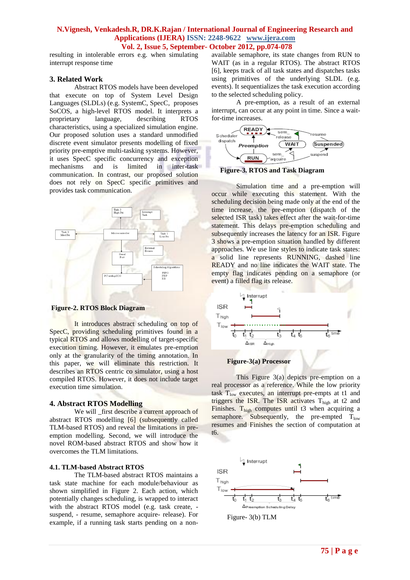resulting in intolerable errors e.g. when simulating interrupt response time

# **3. Related Work**

Abstract RTOS models have been developed that execute on top of System Level Design Languages (SLDLs) (e.g. SystemC, SpecC, proposes SoCOS, a high-level RTOS model. It interprets a proprietary language, describing RTOS characteristics, using a specialized simulation engine. Our proposed solution uses a standard unmodified discrete event simulator presents modelling of fixed priority pre-emptive multi-tasking systems. However, it uses SpecC specific concurrency and exception mechanisms and is limited in inter-task communication. In contrast, our proposed solution does not rely on SpecC specific primitives and provides task communication.



**Figure-2. RTOS Block Diagram**

It introduces abstract scheduling on top of SpecC, providing scheduling primitives found in a typical RTOS and allows modelling of target-specific execution timing. However, it emulates pre-emption only at the granularity of the timing annotation. In this paper, we will eliminate this restriction. It describes an RTOS centric co simulator, using a host compiled RTOS. However, it does not include target execution time simulation.

# **4. Abstract RTOS Modelling**

We will first describe a current approach of abstract RTOS modelling [6] (subsequently called TLM-based RTOS) and reveal the limitations in preemption modelling. Second, we will introduce the novel ROM-based abstract RTOS and show how it overcomes the TLM limitations.

# **4.1. TLM-based Abstract RTOS**

The TLM-based abstract RTOS maintains a task state machine for each module/behaviour as shown simplified in Figure 2. Each action, which potentially changes scheduling, is wrapped to interact with the abstract RTOS model (e.g. task create, suspend, - resume, semaphore acquire- release). For example, if a running task starts pending on a nonavailable semaphore, its state changes from RUN to WAIT (as in a regular RTOS). The abstract RTOS [6], keeps track of all task states and dispatches tasks using primitives of the underlying SLDL (e.g. events). It sequentializes the task execution according to the selected scheduling policy.

A pre-emption, as a result of an external interrupt, can occur at any point in time. Since a waitfor-time increases.





Simulation time and a pre-emption will occur while executing this statement. With the scheduling decision being made only at the end of the time increase, the pre-emption (dispatch of the selected ISR task) takes effect after the wait-for-time statement. This delays pre-emption scheduling and subsequently increases the latency for an ISR. Figure 3 shows a pre-emption situation handled by different approaches. We use line styles to indicate task states: a solid line represents RUNNING, dashed line READY and no line indicates the WAIT state. The empty flag indicates pending on a semaphore (or event) a filled flag its release.





This Figure 3(a) depicts pre-emption on a real processor as a reference. While the low priority task  $T_{low}$  executes, an interrupt pre-empts at t1 and triggers the ISR. The ISR activates  $T_{\text{high}}$  at t2 and Finishes.  $T_{high}$  computes until t3 when acquiring a semaphore. Subsequently, the pre-empted  $T_{low}$ resumes and Finishes the section of computation at t6.

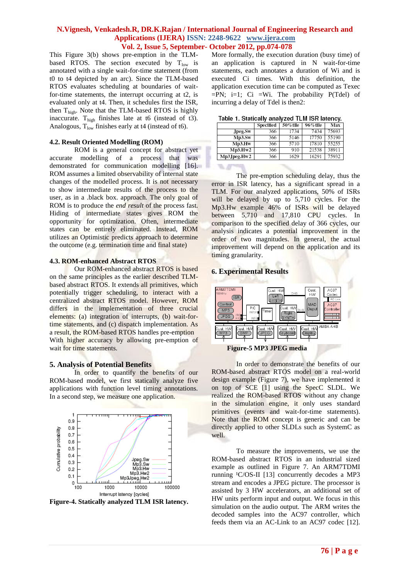VI. A

This Figure 3(b) shows pre-emption in the TLMbased RTOS. The section executed by  $T_{low}$  is annotated with a single wait-for-time statement (from t0 to t4 depicted by an arc). Since the TLM-based RTOS evaluates scheduling at boundaries of waitfor-time statements, the interrupt occurring at t2, is evaluated only at t4. Then, it schedules first the ISR, then T<sub>high</sub>. Note that the TLM-based RTOS is highly inaccurate.  $T_{\text{high}}$  finishes late at t6 (instead of t3). Analogous,  $T_{low}$  finishes early at t4 (instead of t6).

#### **4.2. Result Oriented Modelling (ROM)**

ROM is a general concept for abstract yet accurate modelling of a process that was demonstrated for communication modelling [16]. ROM assumes a limited observability of internal state changes of the modelled process. It is not necessary to show intermediate results of the process to the user, as in a .black box. approach. The only goal of ROM is to produce the *end result* of the process fast. Hiding of intermediate states gives ROM the opportunity for optimization. Often, intermediate states can be entirely eliminated. Instead, ROM utilizes an Optimistic predicts approach to determine the outcome (e.g. termination time and final state)

#### **4.3. ROM-enhanced Abstract RTOS**

Our ROM-enhanced abstract RTOS is based on the same principles as the earlier described TLMbased abstract RTOS. It extends all primitives, which potentially trigger scheduling, to interact with a centralized abstract RTOS model. However, ROM differs in the implementation of three crucial elements: (a) integration of interrupts, (b) wait-fortime statements, and (c) dispatch implementation. As a result, the ROM-based RTOS handles pre-emption With higher accuracy by allowing pre-emption of wait for time statements.

# **5. Analysis of Potential Benefits**

In order to quantify the benefits of our ROM-based model, we first statically analyze five applications with function level timing annotations. In a second step, we measure one application.



**Figure-4. Statically analyzed TLM ISR latency.**

More formally, the execution duration (busy time) of an application is captured in N wait-for-time statements, each annotates a duration of Wi and is executed Ci times. With this definition, the application execution time can be computed as Texec  $=PN$ ;  $i=1$ ; Ci  $=Wi$ . The probability  $P(Tdel)$  of incurring a delay of Tdel is then2:

|  | Table 1. Statically analyzed TLM ISR latency |  |  |  |
|--|----------------------------------------------|--|--|--|
|  |                                              |  |  |  |

|             | Specified | 50%tile | 96% tile | Max   |
|-------------|-----------|---------|----------|-------|
| Jpeg.Sw     | 366       | 1734    | 7434     | 75693 |
| Mp3.SW      | 366       | 5146    | 17750    | 55190 |
| Mp3.Hw      | 366       | 5710    | 17810    | 55255 |
| Mp3.Hw2     | 366       | 910     | 21538    | 38911 |
| Mp3Jpeg.Hw2 | 366       | 1629    | 16291    | 75932 |
|             |           |         |          |       |

The pre-emption scheduling delay, thus the error in ISR latency, has a significant spread in a TLM. For our analyzed applications, 50% of ISRs will be delayed by up to 5,710 cycles. For the Mp3.Hw example 46% of ISRs will be delayed between 5,710 and 17,810 CPU cycles. In comparison to the specified delay of 366 cycles, our analysis indicates a potential improvement in the order of two magnitudes. In general, the actual improvement will depend on the application and its timing granularity.

# **6. Experimental Results**



In order to demonstrate the benefits of our ROM-based abstract RTOS model on a real-world design example (Figure 7), we have implemented it on top of SCE [1] using the SpecC SLDL. We realized the ROM-based RTOS without any change in the simulation engine, it only uses standard primitives (events and wait-for-time statements). Note that the ROM concept is generic and can be directly applied to other SLDLs such as SystemC as well.

To measure the improvements, we use the ROM-based abstract RTOS in an industrial sized example as outlined in Figure 7. An ARM7TDMI running  $(C/OS-II$  [13] concurrently decodes a MP3 stream and encodes a JPEG picture. The processor is assisted by 3 HW accelerators, an additional set of HW units perform input and output. We focus in this simulation on the audio output. The ARM writes the decoded samples into the AC97 controller, which feeds them via an AC-Link to an AC97 codec [12].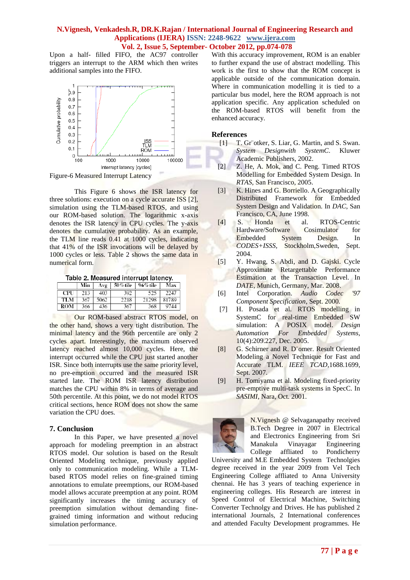Upon a half- filled FIFO, the AC97 controller triggers an interrupt to the ARM which then writes additional samples into the FIFO.



Figure-6 Measured Interrupt Latency

This Figure 6 shows the ISR latency for three solutions: execution on a cycle accurate ISS [2], simulation using the TLM-based RTOS, and using our ROM-based solution. The logarithmic x-axis denotes the ISR latency in CPU cycles. The y-axis denotes the cumulative probability. As an example, the TLM line reads 0.41 at 1000 cycles, indicating that 41% of the ISR invocations will be delayed by 1000 cycles or less. Table 2 shows the same data in numerical form.

|  | Table 2. Measured interrupt latency. |  |
|--|--------------------------------------|--|
|  |                                      |  |

|     | Min | Avg  | 50% tile | 96% tile | Max   |
|-----|-----|------|----------|----------|-------|
| CPU | 213 | 403  | 392      | 525      | 2247  |
| TLM | 367 | 5062 | 2218     | 21298    | 81789 |
| ROM | 366 | 436  | 367      | 368      | 9744  |

Our ROM-based abstract RTOS model, on the other hand, shows a very tight distribution. The minimal latency and the 96th percentile are only 2 cycles apart. Interestingly, the maximum observed latency reached almost 10,000 cycles. Here, the interrupt occurred while the CPU just started another ISR. Since both interrupts use the same priority level, no pre-emption occurred and the measured ISR started late. The ROM ISR latency distribution matches the CPU within 8% in terms of average and 50th percentile. At this point, we do not model RTOS critical sections, hence ROM does not show the same variation the CPU does.

# **7. Conclusion**

In this Paper, we have presented a novel approach for modeling preemption in an abstract RTOS model. Our solution is based on the Result Oriented Modeling technique, previously applied only to communication modeling. While a TLMbased RTOS model relies on fine-grained timing annotations to emulate preemptions, our ROM-based model allows accurate preemption at any point. ROM significantly increases the timing accuracy of preemption simulation without demanding finegrained timing information and without reducing simulation performance.

With this accuracy improvement, ROM is an enabler to further expand the use of abstract modelling. This work is the first to show that the ROM concept is applicable outside of the communication domain. Where in communication modelling it is tied to a particular bus model, here the ROM approach is not application specific. Any application scheduled on the ROM-based RTOS will benefit from the enhanced accuracy.

# **References**

- [1] T. Gr"otker, S. Liar, G. Martin, and S. Swan. *System Designwith SystemC*. Kluwer Academic Publishers, 2002.
- [2] Z. He, A. Mok, and C. Peng. Timed RTOS Modelling for Embedded System Design. In *RTAS*, San Francisco, 2005.
- [3] K. Hines and G. Borriello. A Geographically Distributed Framework for Embedded System Design and Validation. In *DAC*, San Francisco, CA, June 1998.
- [4] S. Honda et al. RTOS-Centric Hardware/Software Cosimulator for Embedded System Design. In *CODES+ISSS*, Stockholm,Sweden, Sept. 2004.
- [5] Y. Hwang, S. Abdi, and D. Gajski. Cycle Approximate Retargettable Performance Estimation at the Transaction Level. In *DATE*, Munich, Germany, Mar. 2008.
- [6] Intel Corporation. *Audio Codec '97 Component Specification*, Sept. 2000.
- [7] H. Posada et al. RTOS modelling in SystemC for real-time Embedded SW simulation: A POSIX model. *Design Automation For Embedded Systems*, 10(4):209.227, Dec. 2005.
- [8] G. Schirner and R. D¨omer. Result Oriented Modeling a Novel Technique for Fast and Accurate TLM. *IEEE TCAD*,1688.1699, Sept. 2007.
- [9] H. Tomiyama et al. Modeling fixed-priority pre-emptive multi-task systems in SpecC. In *SASIMI*, Nara, Oct. 2001.



N.Vignesh @ Selvaganapathy received B.Tech Degree in 2007 in Electrical and Electronics Engineering from Sri Manakula Vinayagar Engineering College affliated to Pondicherry

University and M.E Embedded System Technolgies degree received in the year 2009 from Vel Tech Engineering College affliated to Anna University chennai. He has 3 years of teaching experience in engineering colleges. His Research are interest in Speed Control of Electrical Machine, Switching Converter Technolgy and Drives. He has published 2 international Journals, 2 International conferences and attended Faculty Development programmes. He